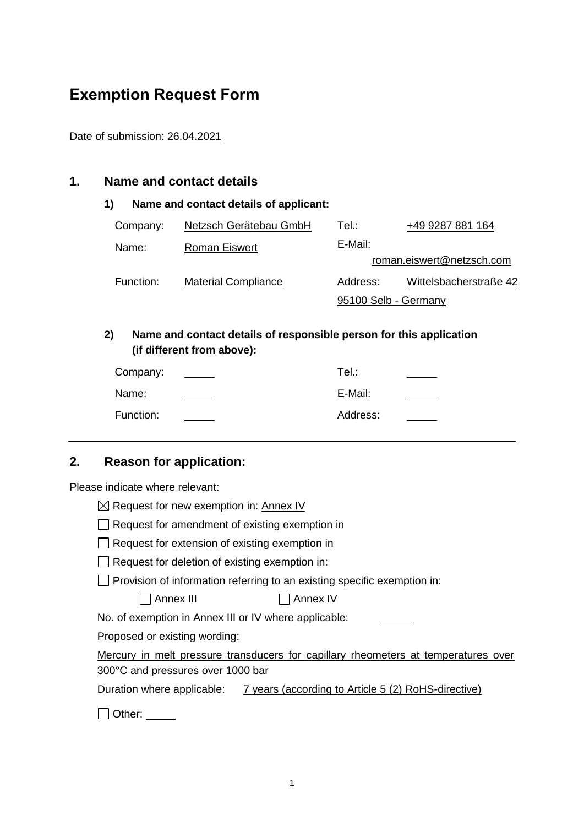# **Exemption Request Form**

Date of submission: 26.04.2021

#### **1. Name and contact details**

#### **1) Name and contact details of applicant:**

| Company:  | Netzsch Gerätebau GmbH     | Tel∴                      | +49 9287 881 164       |  |  |
|-----------|----------------------------|---------------------------|------------------------|--|--|
| Name:     | <b>Roman Eiswert</b>       | E-Mail:                   |                        |  |  |
|           |                            | roman.eiswert@netzsch.com |                        |  |  |
| Function: | <b>Material Compliance</b> | Address:                  | Wittelsbacherstraße 42 |  |  |
|           |                            | 95100 Selb - Germany      |                        |  |  |

#### **2) Name and contact details of responsible person for this application (if different from above):**

| Company:  | Tel∴     |  |
|-----------|----------|--|
| Name:     | E-Mail:  |  |
| Function: | Address: |  |

# **2. Reason for application:**

Please indicate where relevant:

| $\boxtimes$ Request for new exemption in: Annex IV                                 |  |  |
|------------------------------------------------------------------------------------|--|--|
| Request for amendment of existing exemption in                                     |  |  |
| $\Box$ Request for extension of existing exemption in                              |  |  |
| $\Box$ Request for deletion of existing exemption in:                              |  |  |
| $\Box$ Provision of information referring to an existing specific exemption in:    |  |  |
| Annex III<br>Annex IV                                                              |  |  |
| No. of exemption in Annex III or IV where applicable:                              |  |  |
| Proposed or existing wording:                                                      |  |  |
| Mercury in melt pressure transducers for capillary rheometers at temperatures over |  |  |
| 300°C and pressures over 1000 bar                                                  |  |  |
| Duration where applicable: 7 years (according to Article 5 (2) RoHS-directive)     |  |  |
| Other:                                                                             |  |  |
|                                                                                    |  |  |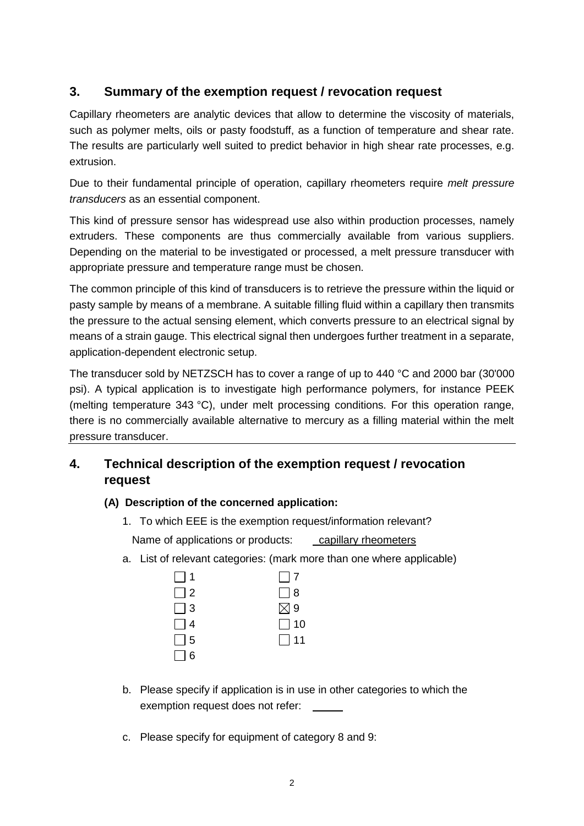# **3. Summary of the exemption request / revocation request**

Capillary rheometers are analytic devices that allow to determine the viscosity of materials, such as polymer melts, oils or pasty foodstuff, as a function of temperature and shear rate. The results are particularly well suited to predict behavior in high shear rate processes, e.g. extrusion.

Due to their fundamental principle of operation, capillary rheometers require *melt pressure transducers* as an essential component.

This kind of pressure sensor has widespread use also within production processes, namely extruders. These components are thus commercially available from various suppliers. Depending on the material to be investigated or processed, a melt pressure transducer with appropriate pressure and temperature range must be chosen.

The common principle of this kind of transducers is to retrieve the pressure within the liquid or pasty sample by means of a membrane. A suitable filling fluid within a capillary then transmits the pressure to the actual sensing element, which converts pressure to an electrical signal by means of a strain gauge. This electrical signal then undergoes further treatment in a separate, application-dependent electronic setup.

The transducer sold by NETZSCH has to cover a range of up to 440 °C and 2000 bar (30'000 psi). A typical application is to investigate high performance polymers, for instance PEEK (melting temperature 343 °C), under melt processing conditions. For this operation range, there is no commercially available alternative to mercury as a filling material within the melt pressure transducer.

# **4. Technical description of the exemption request / revocation request**

#### **(A) Description of the concerned application:**

- 1. To which EEE is the exemption request/information relevant? Name of applications or products: capillary rheometers
- a. List of relevant categories: (mark more than one where applicable)

| $\Box$ 1 | $\Box$ 7      |
|----------|---------------|
| $\Box$ 2 | $\Box$ 8      |
| $\Box$ 3 | $\boxtimes$ 9 |
| $\Box$ 4 | $\Box$ 10     |
| $\Box$ 5 | $\Box$ 11     |
| $\Box$ 6 |               |

- b. Please specify if application is in use in other categories to which the exemption request does not refer:
- c. Please specify for equipment of category 8 and 9: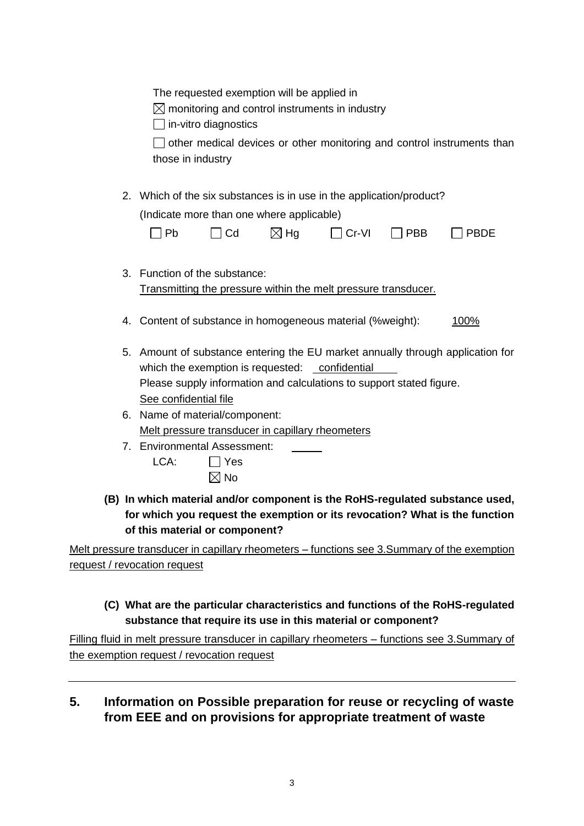|    | The requested exemption will be applied in<br>$\boxtimes$ monitoring and control instruments in industry<br>$\Box$ in-vitro diagnostics<br>$\Box$ other medical devices or other monitoring and control instruments than<br>those in industry                                                          |
|----|--------------------------------------------------------------------------------------------------------------------------------------------------------------------------------------------------------------------------------------------------------------------------------------------------------|
| 2. | Which of the six substances is in use in the application/product?                                                                                                                                                                                                                                      |
|    | (Indicate more than one where applicable)                                                                                                                                                                                                                                                              |
|    | $\sqcap$ Cd<br>$\boxtimes$ Hg<br>$\Box$ Cr-VI<br>Pb<br>$\Box$ PBB<br><b>PBDE</b>                                                                                                                                                                                                                       |
| 3. | Function of the substance:<br>Transmitting the pressure within the melt pressure transducer.                                                                                                                                                                                                           |
|    | 4. Content of substance in homogeneous material (%weight):<br>100%                                                                                                                                                                                                                                     |
| 5. | Amount of substance entering the EU market annually through application for<br>which the exemption is requested: confidential<br>Please supply information and calculations to support stated figure.<br>See confidential file                                                                         |
| 6. | Name of material/component:                                                                                                                                                                                                                                                                            |
|    | Melt pressure transducer in capillary rheometers                                                                                                                                                                                                                                                       |
|    | 7. Environmental Assessment:                                                                                                                                                                                                                                                                           |
|    | LCA:<br>$\Box$ Yes                                                                                                                                                                                                                                                                                     |
|    | $\boxtimes$ No                                                                                                                                                                                                                                                                                         |
|    | (B) In which material and/or component is the RoHS-regulated substance used,<br>for which you request the exemption or its revocation? What is the function<br>of this material or component?                                                                                                          |
|    | $\alpha$ and the contribution of the contribution of $\alpha$ and $\alpha$ and $\alpha$ $\alpha$ $\alpha$ $\beta$ and $\alpha$ $\beta$ and $\beta$ and $\beta$ and $\beta$ and $\beta$ and $\beta$ and $\beta$ and $\beta$ and $\beta$ and $\beta$ and $\beta$ and $\beta$ and $\beta$ and $\beta$ and |

Melt pressure transducer in capillary rheometers – functions see 3.Summary of the exemption request / revocation request

## **(C) What are the particular characteristics and functions of the RoHS-regulated substance that require its use in this material or component?**

Filling fluid in melt pressure transducer in capillary rheometers – functions see 3.Summary of the exemption request / revocation request

**5. Information on Possible preparation for reuse or recycling of waste from EEE and on provisions for appropriate treatment of waste**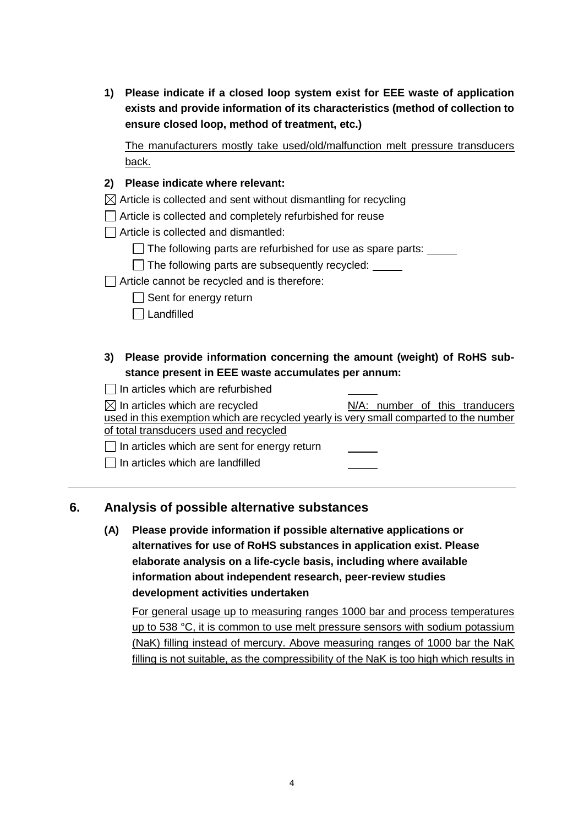**1) Please indicate if a closed loop system exist for EEE waste of application exists and provide information of its characteristics (method of collection to ensure closed loop, method of treatment, etc.)**

The manufacturers mostly take used/old/malfunction melt pressure transducers back.

#### **2) Please indicate where relevant:**

 $\boxtimes$  Article is collected and sent without dismantling for recycling

Article is collected and completely refurbished for reuse

 $\Box$  Article is collected and dismantled:

 $\Box$  The following parts are refurbished for use as spare parts:  $\Box$ 

 $\Box$  The following parts are subsequently recycled:

 $\Box$  Article cannot be recycled and is therefore:

 $\Box$  Sent for energy return

 $\Box$  Landfilled

**3) Please provide information concerning the amount (weight) of RoHS substance present in EEE waste accumulates per annum:**

 $\Box$  In articles which are refurbished

| $\boxtimes$ In articles which are recycled                                             |  |  | N/A: number of this tranducers |
|----------------------------------------------------------------------------------------|--|--|--------------------------------|
| used in this exemption which are recycled yearly is very small comparted to the number |  |  |                                |
| of total transducers used and recycled                                                 |  |  |                                |
| $\Box$ In articles which are sent for energy return                                    |  |  |                                |

 $\Box$  In articles which are landfilled

#### **6. Analysis of possible alternative substances**

**(A) Please provide information if possible alternative applications or alternatives for use of RoHS substances in application exist. Please elaborate analysis on a life-cycle basis, including where available information about independent research, peer-review studies development activities undertaken**

For general usage up to measuring ranges 1000 bar and process temperatures up to 538 °C, it is common to use melt pressure sensors with sodium potassium (NaK) filling instead of mercury. Above measuring ranges of 1000 bar the NaK filling is not suitable, as the compressibility of the NaK is too high which results in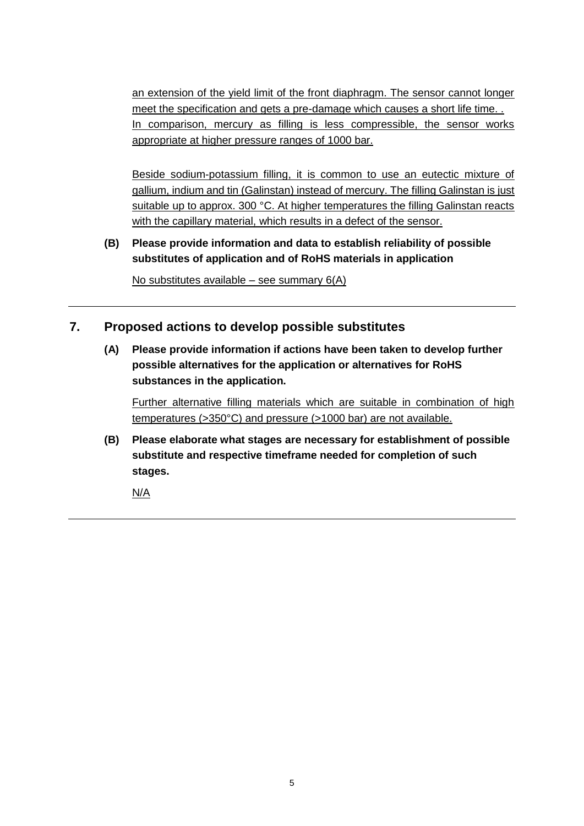an extension of the yield limit of the front diaphragm. The sensor cannot longer meet the specification and gets a pre-damage which causes a short life time... In comparison, mercury as filling is less compressible, the sensor works appropriate at higher pressure ranges of 1000 bar.

Beside sodium-potassium filling, it is common to use an eutectic mixture of gallium, indium and tin (Galinstan) instead of mercury. The filling Galinstan is just suitable up to approx. 300 °C. At higher temperatures the filling Galinstan reacts with the capillary material, which results in a defect of the sensor.

**(B) Please provide information and data to establish reliability of possible substitutes of application and of RoHS materials in application**

No substitutes available – see summary 6(A)

## **7. Proposed actions to develop possible substitutes**

**(A) Please provide information if actions have been taken to develop further possible alternatives for the application or alternatives for RoHS substances in the application.** 

Further alternative filling materials which are suitable in combination of high temperatures (>350°C) and pressure (>1000 bar) are not available.

**(B) Please elaborate what stages are necessary for establishment of possible substitute and respective timeframe needed for completion of such stages.**

N/A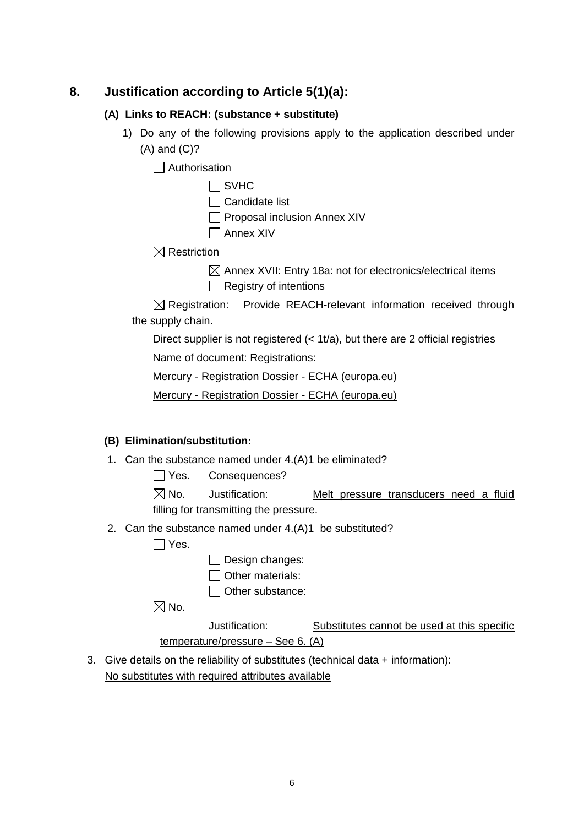## **8. Justification according to Article 5(1)(a):**

#### **(A) Links to REACH: (substance + substitute)**

1) Do any of the following provisions apply to the application described under (A) and (C)?

 $\Box$  Authorisation

| ′⊢<br>v<br>г |
|--------------|
|--------------|

- $\Box$  Candidate list
- $\Box$  Proposal inclusion Annex XIV
- Annex XIV

 $\boxtimes$  Restriction

 $\boxtimes$  Annex XVII: Entry 18a: not for electronics/electrical items  $\Box$  Registry of intentions

 $\boxtimes$  Registration: Provide REACH-relevant information received through the supply chain.

Direct supplier is not registered (< 1t/a), but there are 2 official registries

Name of document: Registrations:

Mercury - [Registration Dossier -](https://echa.europa.eu/de/registration-dossier/-/registered-dossier/5169) ECHA (europa.eu)

Mercury - [Registration Dossier -](https://echa.europa.eu/de/registration-dossier/-/registered-dossier/24425) ECHA (europa.eu)

#### **(B) Elimination/substitution:**

- 1. Can the substance named under 4.(A)1 be eliminated?
	- Yes. Consequences?
	- $\boxtimes$  No. Justification: Melt pressure transducers need a fluid filling for transmitting the pressure.
- 2. Can the substance named under 4.(A)1 be substituted?

 $\Box$  Yes.

- $\Box$  Design changes:
- $\Box$  Other materials:
- $\Box$  Other substance:

 $\boxtimes$  No.

Justification: Substitutes cannot be used at this specific temperature/pressure – See 6. (A)

3. Give details on the reliability of substitutes (technical data + information): No substitutes with required attributes available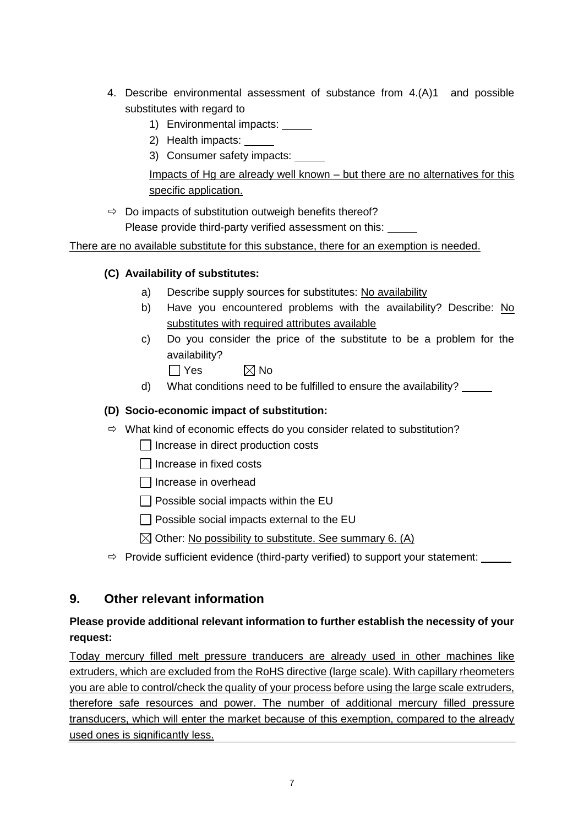- 4. Describe environmental assessment of substance from 4.(A)1 and possible substitutes with regard to
	- 1) Environmental impacts:
	- 2) Health impacts:
	- 3) Consumer safety impacts:

Impacts of Hg are already well known – but there are no alternatives for this specific application.

 $\Rightarrow$  Do impacts of substitution outweigh benefits thereof? Please provide third-party verified assessment on this:

There are no available substitute for this substance, there for an exemption is needed.

## **(C) Availability of substitutes:**

- a) Describe supply sources for substitutes: No availability
- b) Have you encountered problems with the availability? Describe: No substitutes with required attributes available
- c) Do you consider the price of the substitute to be a problem for the availability?
	- $\Box$  Yes  $\boxtimes$  No
- d) What conditions need to be fulfilled to ensure the availability?

### **(D) Socio-economic impact of substitution:**

- $\Rightarrow$  What kind of economic effects do you consider related to substitution?
	- $\Box$  Increase in direct production costs
	- $\Box$  Increase in fixed costs
	- $\Box$  Increase in overhead
	- $\Box$  Possible social impacts within the EU
	- $\Box$  Possible social impacts external to the EU
	- $\boxtimes$  Other: No possibility to substitute. See summary 6. (A)
- $\Rightarrow$  Provide sufficient evidence (third-party verified) to support your statement:

# **9. Other relevant information**

# **Please provide additional relevant information to further establish the necessity of your request:**

Today mercury filled melt pressure tranducers are already used in other machines like extruders, which are excluded from the RoHS directive (large scale). With capillary rheometers you are able to control/check the quality of your process before using the large scale extruders, therefore safe resources and power. The number of additional mercury filled pressure transducers, which will enter the market because of this exemption, compared to the already used ones is significantly less.